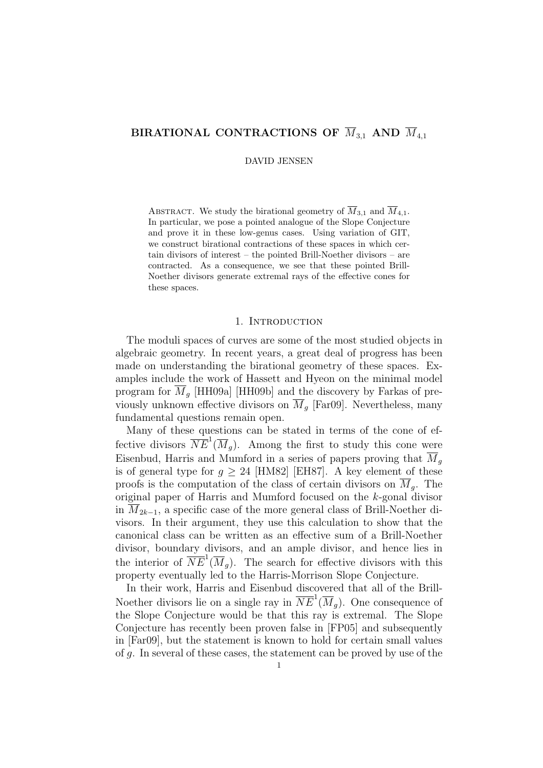# BIRATIONAL CONTRACTIONS OF  $\overline{M}_{3,1}$  AND  $\overline{M}_{4,1}$

DAVID JENSEN

ABSTRACT. We study the birational geometry of  $\overline{M}_{3,1}$  and  $\overline{M}_{4,1}$ . In particular, we pose a pointed analogue of the Slope Conjecture and prove it in these low-genus cases. Using variation of GIT, we construct birational contractions of these spaces in which certain divisors of interest – the pointed Brill-Noether divisors – are contracted. As a consequence, we see that these pointed Brill-Noether divisors generate extremal rays of the effective cones for these spaces.

## 1. INTRODUCTION

The moduli spaces of curves are some of the most studied objects in algebraic geometry. In recent years, a great deal of progress has been made on understanding the birational geometry of these spaces. Examples include the work of Hassett and Hyeon on the minimal model program for  $M<sub>q</sub>$  [HH09a] [HH09b] and the discovery by Farkas of previously unknown effective divisors on  $\overline{M}_g$  [Far09]. Nevertheless, many fundamental questions remain open.

Many of these questions can be stated in terms of the cone of effective divisors  $\overline{NE}^{1}(\overline{M}_{g})$ . Among the first to study this cone were Eisenbud, Harris and Mumford in a series of papers proving that  $\overline{M}_q$ is of general type for  $g \geq 24$  [HM82] [EH87]. A key element of these proofs is the computation of the class of certain divisors on  $\overline{M}_{a}$ . The original paper of Harris and Mumford focused on the k-gonal divisor in  $M_{2k-1}$ , a specific case of the more general class of Brill-Noether divisors. In their argument, they use this calculation to show that the canonical class can be written as an effective sum of a Brill-Noether divisor, boundary divisors, and an ample divisor, and hence lies in the interior of  $\overline{NE}^1(\overline{M}_g)$ . The search for effective divisors with this property eventually led to the Harris-Morrison Slope Conjecture.

In their work, Harris and Eisenbud discovered that all of the Brill-Noether divisors lie on a single ray in  $\overline{NE}^1(\overline{M}_g)$ . One consequence of the Slope Conjecture would be that this ray is extremal. The Slope Conjecture has recently been proven false in [FP05] and subsequently in [Far09], but the statement is known to hold for certain small values of g. In several of these cases, the statement can be proved by use of the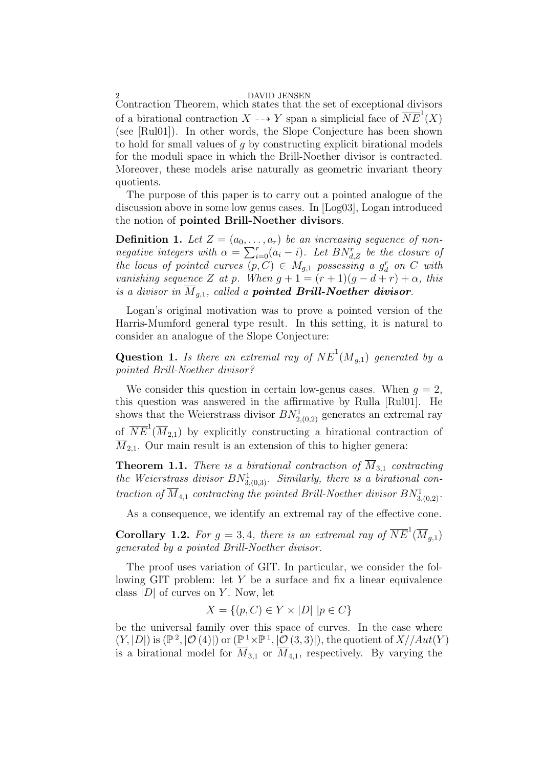2 DAVID JENSEN Contraction Theorem, which states that the set of exceptional divisors of a birational contraction  $X \dashrightarrow Y$  span a simplicial face of  $\overline{NE}^1(X)$ (see [Rul01]). In other words, the Slope Conjecture has been shown to hold for small values of  $g$  by constructing explicit birational models for the moduli space in which the Brill-Noether divisor is contracted. Moreover, these models arise naturally as geometric invariant theory quotients.

The purpose of this paper is to carry out a pointed analogue of the discussion above in some low genus cases. In [Log03], Logan introduced the notion of pointed Brill-Noether divisors.

**Definition 1.** Let  $Z = (a_0, \ldots, a_r)$  be an increasing sequence of nonnegative integers with  $\alpha = \sum_{i=0}^{r} (a_i - i)$ . Let  $BN_{d,Z}^{r}$  be the closure of the locus of pointed curves  $(p, C) \in M_{g,1}$  possessing a  $g_d^r$  on C with vanishing sequence Z at p. When  $g + 1 = (r + 1)(g - d + r) + \alpha$ , this is a divisor in  $\overline{M}_{q,1}$ , called a **pointed Brill-Noether divisor**.

Logan's original motivation was to prove a pointed version of the Harris-Mumford general type result. In this setting, it is natural to consider an analogue of the Slope Conjecture:

**Question 1.** Is there an extremal ray of  $\overline{NE}^1(\overline{M}_{g,1})$  generated by a pointed Brill-Noether divisor?

We consider this question in certain low-genus cases. When  $q = 2$ , this question was answered in the affirmative by Rulla [Rul01]. He shows that the Weierstrass divisor  $BN^1_{2,(0,2)}$  generates an extremal ray of  $\overline{NE}^1(\overline{M}_{2,1})$  by explicitly constructing a birational contraction of  $\overline{M}_{2,1}$ . Our main result is an extension of this to higher genera:

**Theorem 1.1.** There is a birational contraction of  $\overline{M}_{3,1}$  contracting the Weierstrass divisor  $BN^1_{3,(0,3)}$ . Similarly, there is a birational contraction of  $\overline{M}_{4,1}$  contracting the pointed Brill-Noether divisor  $BN^1_{3,(0,2)}$ .

As a consequence, we identify an extremal ray of the effective cone.

**Corollary 1.2.** For  $g = 3, 4$ , there is an extremal ray of  $\overline{NE}^1(\overline{M}_{g,1})$ generated by a pointed Brill-Noether divisor.

The proof uses variation of GIT. In particular, we consider the following GIT problem: let Y be a surface and fix a linear equivalence class  $|D|$  of curves on Y. Now, let

$$
X = \{(p, C) \in Y \times |D| \mid p \in C\}
$$

be the universal family over this space of curves. In the case where  $(Y, |D|)$  is  $(\mathbb{P}^2, |\mathcal{O}(4)|)$  or  $(\mathbb{P}^1 \times \mathbb{P}^1, |\mathcal{O}(3, 3)|)$ , the quotient of  $X//Aut(Y)$ is a birational model for  $\overline{M}_{3,1}$  or  $\overline{M}_{4,1}$ , respectively. By varying the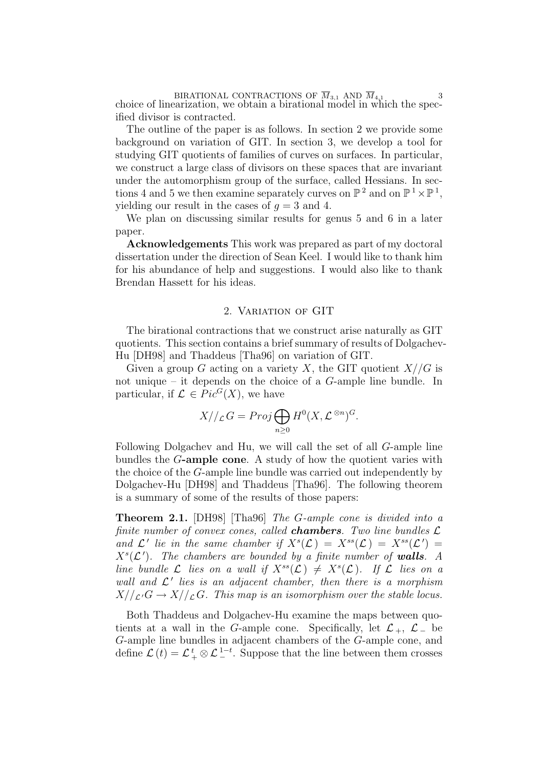BIRATIONAL CONTRACTIONS OF  $M_{3,1}$  AND  $M_{4,1}$  3<br>choice of linearization, we obtain a birational model in which the specified divisor is contracted.

The outline of the paper is as follows. In section 2 we provide some background on variation of GIT. In section 3, we develop a tool for studying GIT quotients of families of curves on surfaces. In particular, we construct a large class of divisors on these spaces that are invariant under the automorphism group of the surface, called Hessians. In sections 4 and 5 we then examine separately curves on  $\mathbb{P}^2$  and on  $\mathbb{P}^1 \times \mathbb{P}^1$ , yielding our result in the cases of  $q = 3$  and 4.

We plan on discussing similar results for genus 5 and 6 in a later paper.

Acknowledgements This work was prepared as part of my doctoral dissertation under the direction of Sean Keel. I would like to thank him for his abundance of help and suggestions. I would also like to thank Brendan Hassett for his ideas.

# 2. Variation of GIT

The birational contractions that we construct arise naturally as GIT quotients. This section contains a brief summary of results of Dolgachev-Hu [DH98] and Thaddeus [Tha96] on variation of GIT.

Given a group G acting on a variety X, the GIT quotient  $X//G$  is not unique – it depends on the choice of a G-ample line bundle. In particular, if  $\mathcal{L} \in Pic^G(X)$ , we have

$$
X//_{\mathcal{L}}G = Proj \bigoplus_{n \geq 0} H^{0}(X, \mathcal{L}^{\otimes n})^{G}.
$$

Following Dolgachev and Hu, we will call the set of all G-ample line bundles the G-ample cone. A study of how the quotient varies with the choice of the G-ample line bundle was carried out independently by Dolgachev-Hu [DH98] and Thaddeus [Tha96]. The following theorem is a summary of some of the results of those papers:

Theorem 2.1. [DH98] [Tha96] The G-ample cone is divided into a finite number of convex cones, called **chambers**. Two line bundles  $\mathcal{L}$ and  $\mathcal{L}'$  lie in the same chamber if  $X<sup>s</sup>(\mathcal{L}) = X<sup>ss</sup>(\mathcal{L}) = X<sup>ss</sup>(\mathcal{L}') =$  $X^s(\mathcal{L}')$ . The chambers are bounded by a finite number of walls. A line bundle L lies on a wall if  $X^{ss}(\mathcal{L}) \neq X^{s}(\mathcal{L})$ . If L lies on a wall and  $\mathcal{L}'$  lies is an adjacent chamber, then there is a morphism  $X//_{\mathcal{L}'}G \to X//_{\mathcal{L}}G$ . This map is an isomorphism over the stable locus.

Both Thaddeus and Dolgachev-Hu examine the maps between quotients at a wall in the G-ample cone. Specifically, let  $\mathcal{L}_+$ ,  $\mathcal{L}_-$  be G-ample line bundles in adjacent chambers of the G-ample cone, and define  $\mathcal{L}(t) = \mathcal{L}_{+}^{t} \otimes \mathcal{L}_{-}^{1-t}$ . Suppose that the line between them crosses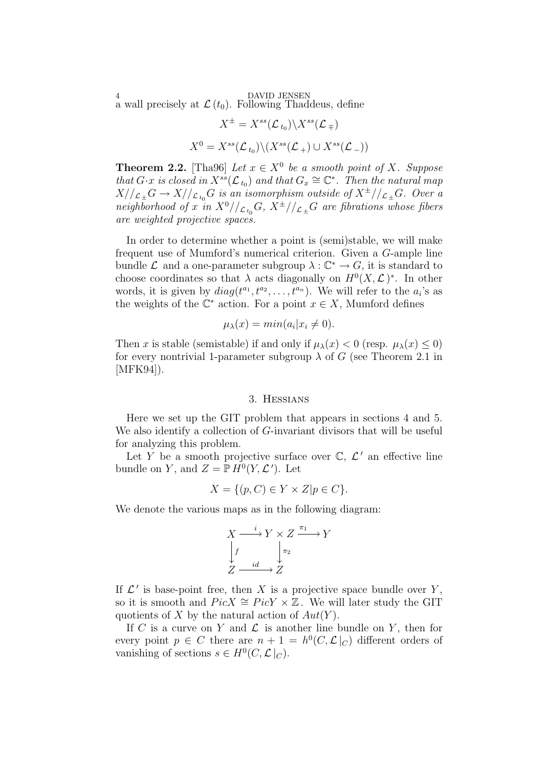<sup>4</sup> DAVID JENSEN<br>a wall precisely at  $\mathcal{L}\left(t_0\right)$ . Following Thaddeus, define

$$
X^{\pm} = X^{ss}(\mathcal{L}_{t_0}) \backslash X^{ss}(\mathcal{L}_{\mp})
$$
  

$$
X^0 = X^{ss}(\mathcal{L}_{t_0}) \backslash (X^{ss}(\mathcal{L}_{+}) \cup X^{ss}(\mathcal{L}_{-}))
$$

**Theorem 2.2.** [Tha96] Let  $x \in X^0$  be a smooth point of X. Suppose that  $G \cdot x$  is closed in  $X^{ss}(\mathcal{L}_{t_0})$  and that  $G_x \cong \mathbb{C}^*$ . Then the natural map  $X//_{\mathcal{L}_{\pm}}G \to X//_{\mathcal{L}_{t_0}}G$  is an isomorphism outside of  $X^{\pm}//_{\mathcal{L}_{\pm}}G$ . Over a neighborhood of x in  $X^0//_{\mathcal{L}_{t_0}}G$ ,  $X^{\pm}//_{\mathcal{L}_{\pm}}G$  are fibrations whose fibers are weighted projective spaces.

In order to determine whether a point is (semi)stable, we will make frequent use of Mumford's numerical criterion. Given a G-ample line bundle  $\mathcal L$  and a one-parameter subgroup  $\lambda: \mathbb{C}^* \to G$ , it is standard to choose coordinates so that  $\lambda$  acts diagonally on  $H^0(X, \mathcal{L})^*$ . In other words, it is given by  $diag(t^{a_1}, t^{a_2}, \ldots, t^{a_n})$ . We will refer to the  $a_i$ 's as the weights of the  $\mathbb{C}^*$  action. For a point  $x \in X$ , Mumford defines

$$
\mu_{\lambda}(x) = \min(a_i | x_i \neq 0).
$$

Then x is stable (semistable) if and only if  $\mu_{\lambda}(x) < 0$  (resp.  $\mu_{\lambda}(x) < 0$ ) for every nontrivial 1-parameter subgroup  $\lambda$  of G (see Theorem 2.1 in [MFK94]).

### 3. Hessians

Here we set up the GIT problem that appears in sections 4 and 5. We also identify a collection of G-invariant divisors that will be useful for analyzing this problem.

Let Y be a smooth projective surface over  $\mathbb{C}, \mathcal{L}'$  an effective line bundle on Y, and  $Z = \mathbb{P} H^0(Y, \mathcal{L}')$ . Let

$$
X = \{ (p, C) \in Y \times Z | p \in C \}.
$$

We denote the various maps as in the following diagram:

$$
X \xrightarrow{i} Y \times Z \xrightarrow{\pi_1} Y
$$
  
\n
$$
\downarrow f \qquad \qquad \downarrow \pi_2
$$
  
\n
$$
Z \xrightarrow{i d} Z
$$

If  $\mathcal{L}'$  is base-point free, then X is a projective space bundle over Y, so it is smooth and  $Pic X \cong Pic Y \times \mathbb{Z}$ . We will later study the GIT quotients of X by the natural action of  $Aut(Y)$ .

If C is a curve on Y and  $\mathcal L$  is another line bundle on Y, then for every point  $p \in C$  there are  $n + 1 = h^0(C, \mathcal{L}|_C)$  different orders of vanishing of sections  $s \in H^0(C, \mathcal{L}|_C)$ .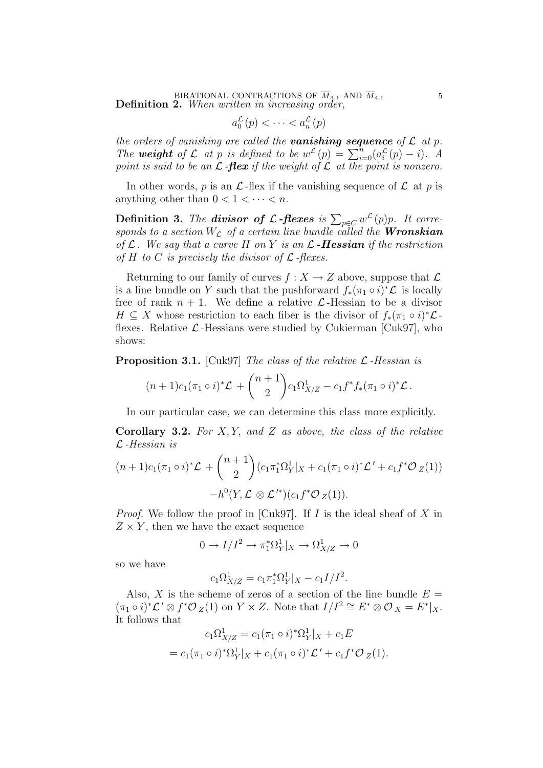BIRATIONAL CONTRACTIONS OF  $M_{3,1}$  AND  $M_{4,1}$  5<br>**Definition 2.** When written in increasing order,

$$
a_0^{\mathcal{L}}(p) < \cdots < a_n^{\mathcal{L}}(p)
$$

the orders of vanishing are called the **vanishing sequence** of  $\mathcal L$  at  $p$ . The weight of L at p is defined to be  $w^{\mathcal{L}}(p) = \sum_{i=0}^{n} (a_i^{\mathcal{L}}(p) - i)$ . A point is said to be an  $\mathcal L$ -flex if the weight of  $\mathcal L$  at the point is nonzero.

In other words, p is an  $\mathcal L$ -flex if the vanishing sequence of  $\mathcal L$  at p is anything other than  $0 < 1 < \cdots < n$ .

**Definition 3.** The **divisor of L-flexes** is  $\sum_{p \in C} w^{\mathcal{L}}(p)p$ . It corresponds to a section  $W_{\mathcal{L}}$  of a certain line bundle called the **Wronskian** of  $\mathcal L$ . We say that a curve H on Y is an  $\mathcal L$ -Hessian if the restriction of H to C is precisely the divisor of  $\mathcal L$ -flexes.

Returning to our family of curves  $f: X \to Z$  above, suppose that  $\mathcal L$ is a line bundle on Y such that the pushforward  $f_*(\pi_1 \circ i)^* \mathcal{L}$  is locally free of rank  $n + 1$ . We define a relative  $\mathcal{L}$ -Hessian to be a divisor  $H \subseteq X$  whose restriction to each fiber is the divisor of  $f_*(\pi_1 \circ i)^* \mathcal{L}$ flexes. Relative  $\mathcal{L}$ -Hessians were studied by Cukierman [Cuk97], who shows:

**Proposition 3.1.** [Cuk97] The class of the relative  $\mathcal{L}$ -Hessian is

$$
(n+1)c_1(\pi_1\circ i)^*\mathcal{L} + \binom{n+1}{2}c_1\Omega^1_{X/Z} - c_1f^*f_*(\pi_1\circ i)^*\mathcal{L}.
$$

In our particular case, we can determine this class more explicitly.

**Corollary 3.2.** For  $X, Y$ , and  $Z$  as above, the class of the relative  $\mathcal{L}$ -Hessian is

$$
(n+1)c_{1}(\pi_{1} \circ i)^{*}\mathcal{L} + {n+1 \choose 2} (c_{1}\pi_{1}^{*}\Omega_{Y}^{1}|_{X} + c_{1}(\pi_{1} \circ i)^{*}\mathcal{L}' + c_{1}f^{*}\mathcal{O}_{Z}(1))
$$

$$
-h^{0}(Y, \mathcal{L} \otimes \mathcal{L}'^{*})(c_{1}f^{*}\mathcal{O}_{Z}(1)).
$$

*Proof.* We follow the proof in [Cuk97]. If I is the ideal sheaf of X in  $Z \times Y$ , then we have the exact sequence

$$
0 \to I/I^2 \to \pi_1^*\Omega^1_Y|_X \to \Omega^1_{X/Z} \to 0
$$

so we have

$$
c_1 \Omega_{X/Z}^1 = c_1 \pi_1^* \Omega_Y^1|_X - c_1 I/I^2.
$$

Also, X is the scheme of zeros of a section of the line bundle  $E =$  $(\pi_1 \circ i)^*\mathcal{L}' \otimes f^*\mathcal{O}_Z(1)$  on  $Y \times Z$ . Note that  $I/I^2 \cong E^* \otimes \mathcal{O}_X = E^*|_X$ . It follows that

$$
c_1 \Omega^1_{X/Z} = c_1 (\pi_1 \circ i)^* \Omega^1_Y |_{X} + c_1 E
$$
  
= 
$$
c_1 (\pi_1 \circ i)^* \Omega^1_Y |_{X} + c_1 (\pi_1 \circ i)^* \mathcal{L}' + c_1 f^* \mathcal{O}_Z(1).
$$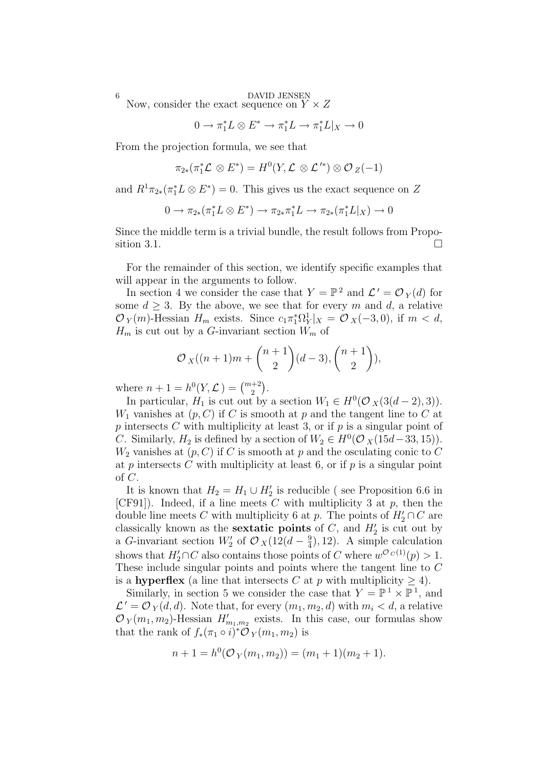<sup>6</sup> DAVID JENSEN<br>Now, consider the exact sequence on  $Y \times Z$ 

$$
0 \to \pi_1^* L \otimes E^* \to \pi_1^* L \to \pi_1^* L|_X \to 0
$$

From the projection formula, we see that

 $\pi_{2*}(\pi_1^*\mathcal{L}\otimes E^*)=H^0(Y,\mathcal{L}\otimes \mathcal{L}^{\prime *})\otimes \mathcal{O}_Z(-1)$ 

and  $R^1\pi_{2*}(\pi_1^*L\otimes E^*)=0$ . This gives us the exact sequence on Z

$$
0 \to \pi_{2*}(\pi_1^* L \otimes E^*) \to \pi_{2*} \pi_1^* L \to \pi_{2*}(\pi_1^* L|_X) \to 0
$$

Since the middle term is a trivial bundle, the result follows from Proposition 3.1.

For the remainder of this section, we identify specific examples that will appear in the arguments to follow.

In section 4 we consider the case that  $Y = \mathbb{P}^2$  and  $\mathcal{L}' = \mathcal{O}_Y(d)$  for some  $d > 3$ . By the above, we see that for every m and d, a relative  $\mathcal{O}_Y(m)$ -Hessian  $H_m$  exists. Since  $c_1 \pi_1^* \Omega_Y^1 |_{X} = \mathcal{O}_X(-3,0)$ , if  $m < d$ ,  $H_m$  is cut out by a G-invariant section  $W_m$  of

$$
\mathcal{O}_X((n+1)m + {n+1 \choose 2}(d-3), {n+1 \choose 2}),
$$

where  $n + 1 = h^0(Y, \mathcal{L}) = \binom{m+2}{2}$ .

In particular,  $H_1$  is cut out by a section  $W_1 \in H^0(\mathcal{O}_X(3(d-2), 3)).$  $W_1$  vanishes at  $(p, C)$  if C is smooth at p and the tangent line to C at p intersects C with multiplicity at least 3, or if  $p$  is a singular point of C. Similarly,  $H_2$  is defined by a section of  $W_2 \in H^0(\mathcal{O}_X(15d-33, 15)).$  $W_2$  vanishes at  $(p, C)$  if C is smooth at p and the osculating conic to C at p intersects C with multiplicity at least 6, or if p is a singular point of C.

It is known that  $H_2 = H_1 \cup H_2'$  is reducible (see Proposition 6.6 in [CF91]). Indeed, if a line meets  $C$  with multiplicity 3 at  $p$ , then the double line meets C with multiplicity 6 at p. The points of  $H'_2 \cap C$  are classically known as the **sextatic points** of C, and  $H_2'$  is cut out by a G-invariant section  $W_2'$  of  $\mathcal{O}_X(12(d-\frac{9}{4}))$  $(\frac{9}{4}), 12$ ). A simple calculation shows that  $H'_2 \cap C$  also contains those points of C where  $w^{\mathcal{O}_C(1)}(p) > 1$ . These include singular points and points where the tangent line to C is a hyperflex (a line that intersects C at p with multiplicity  $\geq 4$ ).

Similarly, in section 5 we consider the case that  $Y = \mathbb{P}^1 \times \mathbb{P}^1$ , and  $\mathcal{L}' = \mathcal{O}_Y(d, d)$ . Note that, for every  $(m_1, m_2, d)$  with  $m_i < d$ , a relative  $\mathcal{O}_Y(m_1, m_2)$ -Hessian  $H'_{m_1, m_2}$  exists. In this case, our formulas show that the rank of  $f_*(\pi_1 \circ i)^* \tilde{\mathcal{O}}_Y(m_1, m_2)$  is

$$
n+1 = h^{0}(\mathcal{O}_{Y}(m_1, m_2)) = (m_1 + 1)(m_2 + 1).
$$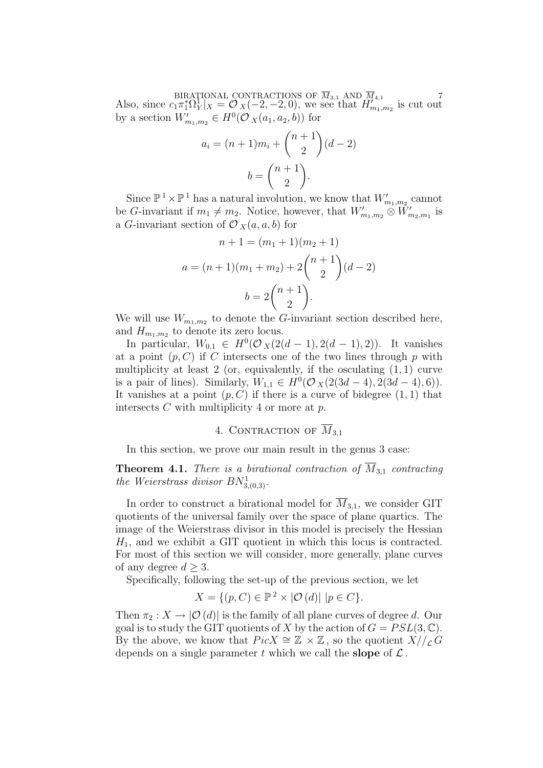BIRATIONAL CONTRACTIONS OF  $M_{3,1}$  AND  $M_{4,1}$ <br>Also, since  $c_1 \pi_1^* \Omega_Y^1|_X = \mathcal{O}_X(-2, -2, 0)$ , we see that  $H'_{m_1, m_2}$  is cut out by a section  $W'_{m_1,m_2} \in H^0(\mathcal{O}_X(a_1,a_2,b))$  for

$$
a_i = (n+1)m_i + \binom{n+1}{2}(d-2)
$$

$$
b = \binom{n+1}{2}.
$$

Since  $\mathbb{P}^1 \times \mathbb{P}^1$  has a natural involution, we know that  $W'_{m_1,m_2}$  cannot be G-invariant if  $m_1 \neq m_2$ . Notice, however, that  $W'_{m_1,m_2} \otimes W'_{m_2,m_1}$  is a G-invariant section of  $\mathcal{O}_X(a, a, b)$  for

$$
n + 1 = (m_1 + 1)(m_2 + 1)
$$
  

$$
a = (n + 1)(m_1 + m_2) + 2{n + 1 \choose 2}(d - 2)
$$
  

$$
b = 2{n + 1 \choose 2}.
$$

We will use  $W_{m_1,m_2}$  to denote the G-invariant section described here, and  $H_{m_1,m_2}$  to denote its zero locus.

In particular,  $W_{0,1} \in H^0(\mathcal{O}_X(2(d-1), 2(d-1), 2))$ . It vanishes at a point  $(p, C)$  if C intersects one of the two lines through p with multiplicity at least 2 (or, equivalently, if the osculating  $(1, 1)$  curve is a pair of lines). Similarly,  $W_{1,1} \in H^0(\mathcal{O}_X(2(3d-4), 2(3d-4), 6)).$ It vanishes at a point  $(p, C)$  if there is a curve of bidegree  $(1, 1)$  that intersects  $C$  with multiplicity 4 or more at  $p$ .

# 4. CONTRACTION OF  $\overline{M}_{3,1}$

In this section, we prove our main result in the genus 3 case:

**Theorem 4.1.** There is a birational contraction of  $\overline{M}_{3,1}$  contracting the Weierstrass divisor  $BN^1_{3,(0,3)}$ .

In order to construct a birational model for  $\overline{M}_{3,1}$ , we consider GIT quotients of the universal family over the space of plane quartics. The image of the Weierstrass divisor in this model is precisely the Hessian  $H_1$ , and we exhibit a GIT quotient in which this locus is contracted. For most of this section we will consider, more generally, plane curves of any degree  $d \geq 3$ .

Specifically, following the set-up of the previous section, we let

$$
X = \{ (p, C) \in \mathbb{P}^2 \times |\mathcal{O}(d)| \mid p \in C \}.
$$

Then  $\pi_2 : X \to |{\mathcal{O}}(d)|$  is the family of all plane curves of degree d. Our goal is to study the GIT quotients of X by the action of  $G = PSL(3, \mathbb{C})$ . By the above, we know that  $Pic X \cong \mathbb{Z} \times \mathbb{Z}$ , so the quotient  $X//_L G$ depends on a single parameter t which we call the **slope** of  $\mathcal{L}$ .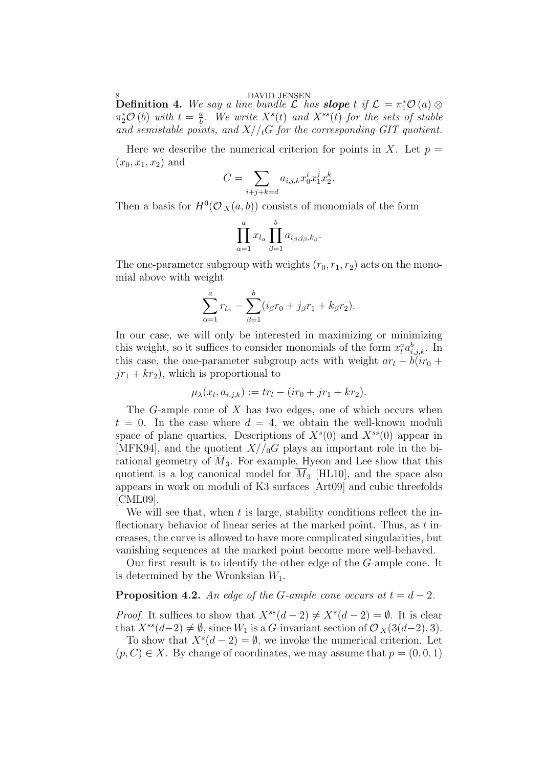8 DAVID JENSEN<br>Definition 4. We say a line bundle  ${\cal L}$  has slope t if  ${\cal L} = \pi_1^*{\cal O}\left(a\right)\otimes$  $\pi_2^* \mathcal{O}(b)$  with  $t = \frac{a}{b}$  $\frac{a}{b}$ . We write  $X^{s}(t)$  and  $X^{ss}(t)$  for the sets of stable and semistable points, and  $X//_tG$  for the corresponding GIT quotient.

Here we describe the numerical criterion for points in X. Let  $p =$  $(x_0, x_1, x_2)$  and

$$
C = \sum_{i+j+k=d} a_{i,j,k} x_0^i x_1^j x_2^k.
$$

Then a basis for  $H^0(\mathcal{O}_X(a, b))$  consists of monomials of the form

$$
\prod_{\alpha=1}^a x_{l_\alpha} \prod_{\beta=1}^b a_{i_\beta,j_\beta,k_\beta}.
$$

The one-parameter subgroup with weights  $(r_0, r_1, r_2)$  acts on the monomial above with weight

$$
\sum_{\alpha=1}^{a} r_{l_{\alpha}} - \sum_{\beta=1}^{b} (i_{\beta}r_{0} + j_{\beta}r_{1} + k_{\beta}r_{2}).
$$

In our case, we will only be interested in maximizing or minimizing this weight, so it suffices to consider monomials of the form  $x_i^a a_{i,j,k}^b$ . In this case, the one-parameter subgroup acts with weight  $ar_l - b(ir_0 +$  $jr_1 + kr_2$ , which is proportional to

$$
\mu_{\lambda}(x_l, a_{i,j,k}) := tr_l - (ir_0 + jr_1 + kr_2).
$$

The G-ample cone of  $X$  has two edges, one of which occurs when  $t = 0$ . In the case where  $d = 4$ , we obtain the well-known moduli space of plane quartics. Descriptions of  $X<sup>s</sup>(0)$  and  $X<sup>ss</sup>(0)$  appear in [MFK94], and the quotient  $X/\mathcal{L}_0$  plays an important role in the birational geometry of  $\overline{M}_3$ . For example, Hyeon and Lee show that this quotient is a log canonical model for  $\overline{M}_3$  [HL10], and the space also appears in work on moduli of K3 surfaces [Art09] and cubic threefolds [CML09].

We will see that, when  $t$  is large, stability conditions reflect the inflectionary behavior of linear series at the marked point. Thus, as  $t$  increases, the curve is allowed to have more complicated singularities, but vanishing sequences at the marked point become more well-behaved.

Our first result is to identify the other edge of the G-ample cone. It is determined by the Wronksian  $W_1$ .

# **Proposition 4.2.** An edge of the G-ample cone occurs at  $t = d - 2$ .

*Proof.* It suffices to show that  $X^{ss}(d-2) \neq X^{s}(d-2) = \emptyset$ . It is clear that  $X^{ss}(d-2) \neq \emptyset$ , since  $W_1$  is a G-invariant section of  $\mathcal{O}_X(3(d-2), 3)$ .

To show that  $X^s(d-2) = \emptyset$ , we invoke the numerical criterion. Let  $(p, C) \in X$ . By change of coordinates, we may assume that  $p = (0, 0, 1)$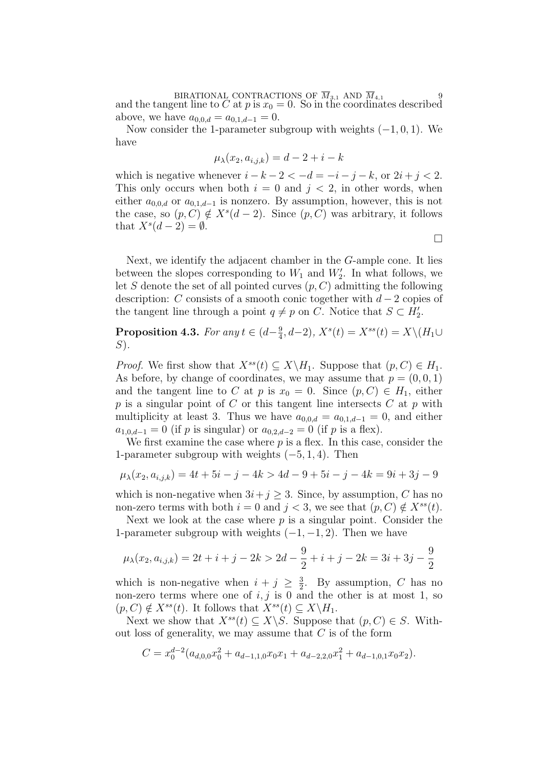BIRATIONAL CONTRACTIONS OF  $M_{3,1}$  AND  $M_{4,1}$  9<br>and the tangent line to C at p is  $x_0 = 0$ . So in the coordinates described above, we have  $a_{0,0,d} = a_{0,1,d-1} = 0$ .

Now consider the 1-parameter subgroup with weights  $(-1, 0, 1)$ . We have

$$
\mu_{\lambda}(x_2, a_{i,j,k}) = d - 2 + i - k
$$

which is negative whenever  $i - k - 2 < -d = -i - j - k$ , or  $2i + j < 2$ . This only occurs when both  $i = 0$  and  $j < 2$ , in other words, when either  $a_{0,0,d}$  or  $a_{0,1,d-1}$  is nonzero. By assumption, however, this is not the case, so  $(p, C) \notin X^s(d-2)$ . Since  $(p, C)$  was arbitrary, it follows that  $X^s(d-2) = \emptyset$ .

 $\Box$ 

Next, we identify the adjacent chamber in the G-ample cone. It lies between the slopes corresponding to  $W_1$  and  $W'_2$ . In what follows, we let S denote the set of all pointed curves  $(p, C)$  admitting the following description: C consists of a smooth conic together with  $d-2$  copies of the tangent line through a point  $q \neq p$  on C. Notice that  $S \subset H_2'$ .

**Proposition 4.3.** For any  $t \in (d - \frac{9}{4})$  $\frac{9}{4}$ , d-2),  $X^{s}(t) = X^{ss}(t) = X\setminus (H_1 \cup$  $S$ ).

*Proof.* We first show that  $X^{ss}(t) \subset X \backslash H_1$ . Suppose that  $(p, C) \in H_1$ . As before, by change of coordinates, we may assume that  $p = (0, 0, 1)$ and the tangent line to C at p is  $x_0 = 0$ . Since  $(p, C) \in H_1$ , either  $p$  is a singular point of  $C$  or this tangent line intersects  $C$  at  $p$  with multiplicity at least 3. Thus we have  $a_{0,0,d} = a_{0,1,d-1} = 0$ , and either  $a_{1,0,d-1} = 0$  (if p is singular) or  $a_{0,2,d-2} = 0$  (if p is a flex).

We first examine the case where  $p$  is a flex. In this case, consider the 1-parameter subgroup with weights  $(-5, 1, 4)$ . Then

$$
\mu_{\lambda}(x_2, a_{i,j,k}) = 4t + 5i - j - 4k > 4d - 9 + 5i - j - 4k = 9i + 3j - 9
$$

which is non-negative when  $3i + j \geq 3$ . Since, by assumption, C has no non-zero terms with both  $i = 0$  and  $j < 3$ , we see that  $(p, C) \notin X^{ss}(t)$ .

Next we look at the case where  $p$  is a singular point. Consider the 1-parameter subgroup with weights  $(-1, -1, 2)$ . Then we have

$$
\mu_{\lambda}(x_2, a_{i,j,k}) = 2t + i + j - 2k > 2d - \frac{9}{2} + i + j - 2k = 3i + 3j - \frac{9}{2}
$$

which is non-negative when  $i + j \geq \frac{3}{2}$  $\frac{3}{2}$ . By assumption, C has no non-zero terms where one of  $i, j$  is 0 and the other is at most 1, so  $(p, C) \notin X^{ss}(t)$ . It follows that  $X^{ss}(t) \subset X \backslash H_1$ .

Next we show that  $X^{ss}(t) \subseteq X \backslash S$ . Suppose that  $(p, C) \in S$ . Without loss of generality, we may assume that  $C$  is of the form

$$
C = x_0^{d-2} (a_{d,0,0} x_0^2 + a_{d-1,1,0} x_0 x_1 + a_{d-2,2,0} x_1^2 + a_{d-1,0,1} x_0 x_2).
$$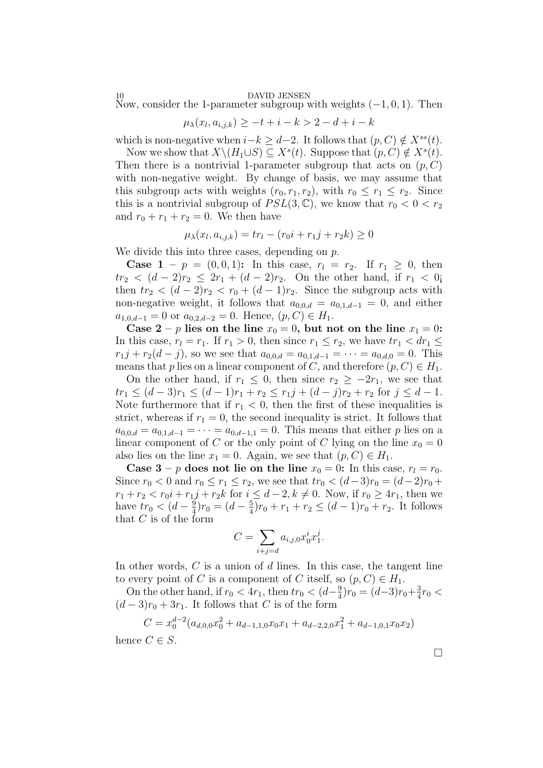### DAVID JENSEN

Now, consider the 1-parameter subgroup with weights  $(-1, 0, 1)$ . Then

$$
\mu_{\lambda}(x_l, a_{i,j,k}) \ge -t + i - k > 2 - d + i - k
$$

which is non-negative when  $i-k \geq d-2$ . It follows that  $(p, C) \notin X^{ss}(t)$ .

Now we show that  $X \setminus (H_1 \cup S) \subseteq X^s(t)$ . Suppose that  $(p, C) \notin X^s(t)$ . Then there is a nontrivial 1-parameter subgroup that acts on  $(p, C)$ with non-negative weight. By change of basis, we may assume that this subgroup acts with weights  $(r_0, r_1, r_2)$ , with  $r_0 \leq r_1 \leq r_2$ . Since this is a nontrivial subgroup of  $PSL(3, \mathbb{C})$ , we know that  $r_0 < 0 < r_2$ and  $r_0 + r_1 + r_2 = 0$ . We then have

$$
\mu_{\lambda}(x_l, a_{i,j,k}) = tr_l - (r_0 i + r_1 j + r_2 k) \ge 0
$$

We divide this into three cases, depending on p.

**Case 1** – p =  $(0, 0, 1)$ : In this case,  $r_l = r_2$ . If  $r_1 \geq 0$ , then  $tr_2 < (d-2)r_2 \leq 2r_1 + (d-2)r_2$ . On the other hand, if  $r_1 < 0$ j then  $tr_2 < (d-2)r_2 < r_0 + (d-1)r_2$ . Since the subgroup acts with non-negative weight, it follows that  $a_{0,0,d} = a_{0,1,d-1} = 0$ , and either  $a_{1,0,d-1} = 0$  or  $a_{0,2,d-2} = 0$ . Hence,  $(p, C) \in H_1$ .

Case  $2 - p$  lies on the line  $x_0 = 0$ , but not on the line  $x_1 = 0$ : In this case,  $r_l = r_1$ . If  $r_1 > 0$ , then since  $r_1 \leq r_2$ , we have  $tr_1 < dr_1 \leq$  $r_1j + r_2(d - j)$ , so we see that  $a_{0,0,d} = a_{0,1,d-1} = \cdots = a_{0,d,0} = 0$ . This means that p lies on a linear component of C, and therefore  $(p, C) \in H_1$ .

On the other hand, if  $r_1 \leq 0$ , then since  $r_2 \geq -2r_1$ , we see that  $tr_1 \leq (d-3)r_1 \leq (d-1)r_1 + r_2 \leq r_1j + (d-j)r_2 + r_2$  for  $j \leq d-1$ . Note furthermore that if  $r_1 < 0$ , then the first of these inequalities is strict, whereas if  $r_1 = 0$ , the second inequality is strict. It follows that  $a_{0,0,d} = a_{0,1,d-1} = \cdots = a_{0,d-1,1} = 0$ . This means that either p lies on a linear component of C or the only point of C lying on the line  $x_0 = 0$ also lies on the line  $x_1 = 0$ . Again, we see that  $(p, C) \in H_1$ .

Case  $3 - p$  does not lie on the line  $x_0 = 0$ : In this case,  $r_l = r_0$ . Since  $r_0 < 0$  and  $r_0 \le r_1 \le r_2$ , we see that  $tr_0 < (d-3)r_0 = (d-2)r_0 +$  $r_1 + r_2 < r_0 i + r_1 j + r_2 k$  for  $i \leq d-2, k \neq 0$ . Now, if  $r_0 \geq 4r_1$ , then we have  $tr_0 < (d - \frac{9}{4})$  $\frac{9}{4}$ ) $r_0 = (d - \frac{5}{4})$  $\frac{5}{4}$ ) $r_0 + r_1 + r_2 \leq (d-1)r_0 + r_2$ . It follows that  $C$  is of the form

$$
C = \sum_{i+j=d} a_{i,j,0} x_0^i x_1^j.
$$

In other words,  $C$  is a union of  $d$  lines. In this case, the tangent line to every point of C is a component of C itself, so  $(p, C) \in H_1$ .

On the other hand, if  $r_0 < 4r_1$ , then  $tr_0 < (d - \frac{9}{4})$  $\frac{9}{4}$ ) $r_0 = (d-3)r_0 + \frac{3}{4}$  $\frac{3}{4}r_0 <$  $(d-3)r_0+3r_1$ . It follows that C is of the form

$$
C = x_0^{d-2} (a_{d,0,0} x_0^2 + a_{d-1,1,0} x_0 x_1 + a_{d-2,2,0} x_1^2 + a_{d-1,0,1} x_0 x_2)
$$

hence  $C \in S$ .

 $\Box$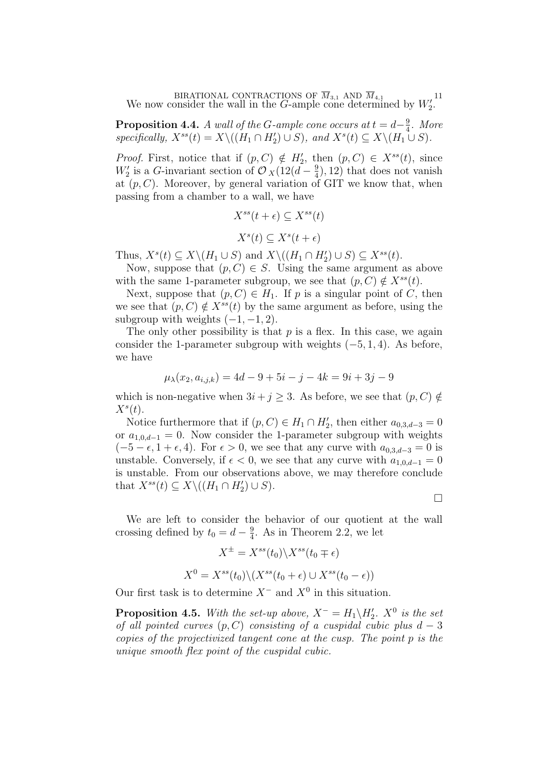BIRATIONAL CONTRACTIONS OF  $M_{3,1}$  AND  $M_{4,1}$  11<br>We now consider the wall in the G-ample cone determined by  $W_2'$ .

**Proposition 4.4.** A wall of the G-ample cone occurs at  $t = d - \frac{9}{4}$  $rac{9}{4}$ . More specifically,  $X^{ss}(t) = X \setminus ((H_1 \cap H_2') \cup S)$ , and  $X^{s}(t) \subseteq X \setminus (H_1 \cup S)$ .

*Proof.* First, notice that if  $(p, C) \notin H'_2$ , then  $(p, C) \in X^{ss}(t)$ , since  $W_2'$  is a G-invariant section of  $\mathcal{O}_X(12(d-\frac{9}{4}))$  $(\frac{9}{4}), 12)$  that does not vanish at  $(p, C)$ . Moreover, by general variation of GIT we know that, when passing from a chamber to a wall, we have

$$
X^{ss}(t+\epsilon) \subseteq X^{ss}(t)
$$

$$
X^{s}(t) \subseteq X^{s}(t+\epsilon)
$$

Thus,  $X^s(t) \subseteq X \setminus (H_1 \cup S)$  and  $X \setminus ((H_1 \cap H_2') \cup S) \subseteq X^{ss}(t)$ .

Now, suppose that  $(p, C) \in S$ . Using the same argument as above with the same 1-parameter subgroup, we see that  $(p, C) \notin X^{ss}(t)$ .

Next, suppose that  $(p, C) \in H_1$ . If p is a singular point of C, then we see that  $(p, C) \notin X^{ss}(t)$  by the same argument as before, using the subgroup with weights  $(-1, -1, 2)$ .

The only other possibility is that  $p$  is a flex. In this case, we again consider the 1-parameter subgroup with weights  $(-5, 1, 4)$ . As before, we have

$$
\mu_{\lambda}(x_2, a_{i,j,k}) = 4d - 9 + 5i - j - 4k = 9i + 3j - 9
$$

which is non-negative when  $3i + j \geq 3$ . As before, we see that  $(p, C) \notin$  $X^s(t)$ .

Notice furthermore that if  $(p, C) \in H_1 \cap H_2'$ , then either  $a_{0,3,d-3} = 0$ or  $a_{1,0,d-1} = 0$ . Now consider the 1-parameter subgroup with weights  $(-5 - \epsilon, 1 + \epsilon, 4)$ . For  $\epsilon > 0$ , we see that any curve with  $a_{0,3,d-3} = 0$  is unstable. Conversely, if  $\epsilon < 0$ , we see that any curve with  $a_{1,0,d-1} = 0$ is unstable. From our observations above, we may therefore conclude that  $X^{ss}(t) \subseteq X \setminus ((H_1 \cap H_2') \cup S)$ .

 $\Box$ 

We are left to consider the behavior of our quotient at the wall crossing defined by  $t_0 = d - \frac{9}{4}$  $\frac{9}{4}$ . As in Theorem 2.2, we let

$$
X^{\pm} = X^{ss}(t_0) \backslash X^{ss}(t_0 \mp \epsilon)
$$

$$
X^0 = X^{ss}(t_0) \backslash (X^{ss}(t_0 + \epsilon) \cup X^{ss}(t_0 - \epsilon))
$$

Our first task is to determine  $X^-$  and  $X^0$  in this situation.

**Proposition 4.5.** With the set-up above,  $X^- = H_1 \backslash H_2'$ .  $X^0$  is the set of all pointed curves  $(p, C)$  consisting of a cuspidal cubic plus  $d-3$ copies of the projectivized tangent cone at the cusp. The point p is the unique smooth flex point of the cuspidal cubic.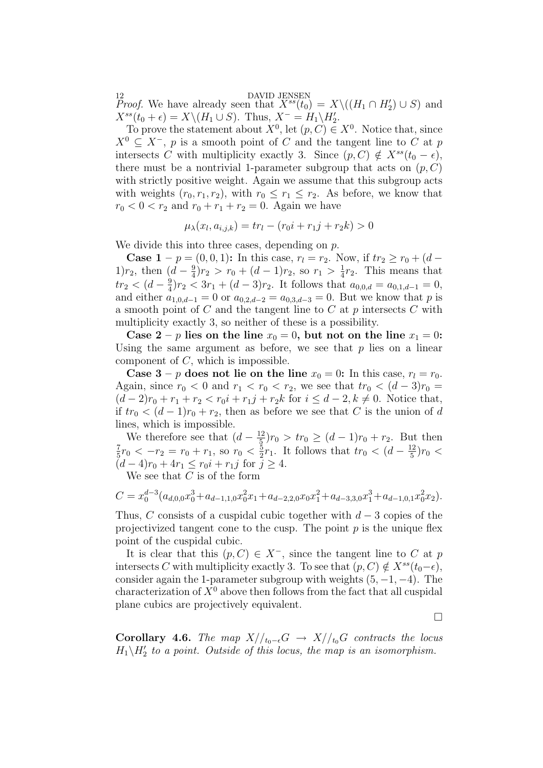12<br>*Proof.* We have already seen that  $X^{ss}(t_0) = X \setminus ((H_1 \cap H_2') \cup S)$  and  $X^{ss}(t_0 + \epsilon) = X \setminus (H_1 \cup S)$ . Thus,  $X^- = H_1 \setminus H_2'$ .

To prove the statement about  $X^0$ , let  $(p, C) \in X^0$ . Notice that, since  $X^0 \subseteq X^-$ , p is a smooth point of C and the tangent line to C at p intersects C with multiplicity exactly 3. Since  $(p, C) \notin X^{ss}(t_0 - \epsilon)$ , there must be a nontrivial 1-parameter subgroup that acts on  $(p, C)$ with strictly positive weight. Again we assume that this subgroup acts with weights  $(r_0, r_1, r_2)$ , with  $r_0 \leq r_1 \leq r_2$ . As before, we know that  $r_0 < 0 < r_2$  and  $r_0 + r_1 + r_2 = 0$ . Again we have

$$
\mu_{\lambda}(x_l, a_{i,j,k}) = tr_l - (r_0 i + r_1 j + r_2 k) > 0
$$

We divide this into three cases, depending on p.

**Case 1** – p =  $(0, 0, 1)$ : In this case,  $r_1 = r_2$ . Now, if  $tr_2 \ge r_0 + (d -$ 1) $r_2$ , then  $(d - \frac{9}{4})$  $\frac{9}{4}$ ) $r_2 > r_0 + (d-1)r_2$ , so  $r_1 > \frac{1}{4}$  $\frac{1}{4}r_2$ . This means that  $tr_2 < (d - \frac{9}{4})$  $\frac{9}{4}$ ) $r_2 < 3r_1 + (d-3)r_2$ . It follows that  $a_{0,0,d} = a_{0,1,d-1} = 0$ , and either  $a_{1,0,d-1} = 0$  or  $a_{0,2,d-2} = a_{0,3,d-3} = 0$ . But we know that p is a smooth point of  $C$  and the tangent line to  $C$  at  $p$  intersects  $C$  with multiplicity exactly 3, so neither of these is a possibility.

Case  $2 - p$  lies on the line  $x_0 = 0$ , but not on the line  $x_1 = 0$ : Using the same argument as before, we see that  $p$  lies on a linear component of  $C$ , which is impossible.

Case 3 – p does not lie on the line  $x_0 = 0$ : In this case,  $r_l = r_0$ . Again, since  $r_0 < 0$  and  $r_1 < r_0 < r_2$ , we see that  $tr_0 < (d-3)r_0 =$  $(d-2)r_0 + r_1 + r_2 < r_0i + r_1j + r_2k$  for  $i \leq d-2, k \neq 0$ . Notice that, if  $tr_0 < (d-1)r_0 + r_2$ , then as before we see that C is the union of d lines, which is impossible.

We therefore see that  $(d - \frac{12}{5})$  $(\frac{12}{5})r_0 > tr_0 \geq (d-1)r_0 + r_2$ . But then 7  $\frac{7}{5}r_0 < -r_2 = r_0 + r_1$ , so  $r_0 < \frac{5}{2}$  $\frac{5}{2}r_1$ . It follows that  $tr_0 < (d - \frac{12}{5})$  $\frac{12}{5}$ ) $r_0$  <  $(d-4)r_0 + 4r_1 < r_0 i + r_1 j$  for  $\overline{j} > 4$ . We see that  $C$  is of the form

$$
C = x_0^{d-3} (a_{d,0,0} x_0^3 + a_{d-1,1,0} x_0^2 x_1 + a_{d-2,2,0} x_0 x_1^2 + a_{d-3,3,0} x_1^3 + a_{d-1,0,1} x_0^2 x_2).
$$

Thus, C consists of a cuspidal cubic together with  $d-3$  copies of the projectivized tangent cone to the cusp. The point  $p$  is the unique flex point of the cuspidal cubic.

It is clear that this  $(p, C) \in X^-$ , since the tangent line to C at p intersects C with multiplicity exactly 3. To see that  $(p, C) \notin X^{ss}(t_0-\epsilon)$ , consider again the 1-parameter subgroup with weights  $(5, -1, -4)$ . The characterization of  $X^0$  above then follows from the fact that all cuspidal plane cubics are projectively equivalent.

 $\Box$ 

Corollary 4.6. The map  $X/_{t_0-\epsilon}G \rightarrow X/_{t_0}G$  contracts the locus  $H_1 \backslash H_2'$  to a point. Outside of this locus, the map is an isomorphism.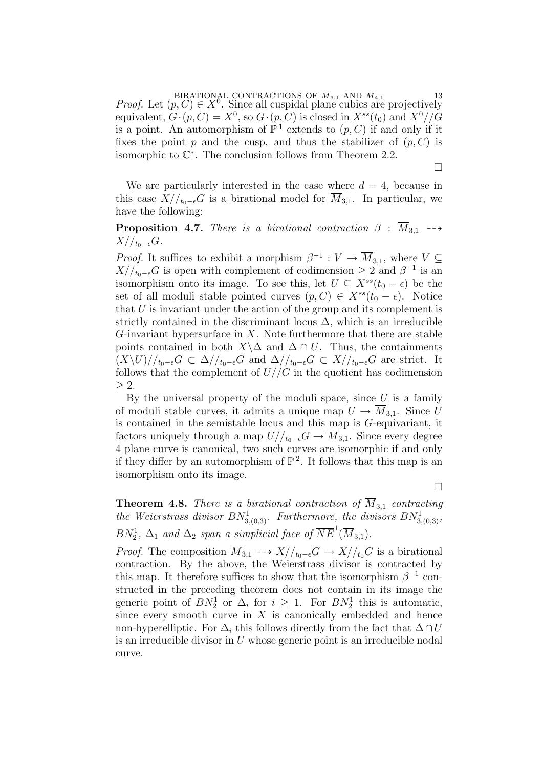BIRATIONAL CONTRACTIONS OF  $M_{3,1}$  AND  $M_{4,1}$  13<br>*Proof.* Let  $(p, C) \in X^0$ . Since all cuspidal plane cubics are projectively equivalent,  $G \cdot (p, C) = X^0$ , so  $G \cdot (p, C)$  is closed in  $X^{ss}(t_0)$  and  $X^0//G$ is a point. An automorphism of  $\mathbb{P}^1$  extends to  $(p, C)$  if and only if it fixes the point p and the cusp, and thus the stabilizer of  $(p, C)$  is isomorphic to  $\mathbb{C}^*$ . The conclusion follows from Theorem 2.2.

We are particularly interested in the case where  $d = 4$ , because in this case  $X/_{t_0-\epsilon}G$  is a birational model for  $\overline{M}_{3,1}$ . In particular, we have the following:

**Proposition 4.7.** There is a birational contraction  $\beta$  :  $\overline{M}_{3,1}$  -- $X//_{t_0-\epsilon}G.$ 

*Proof.* It suffices to exhibit a morphism  $\beta^{-1}: V \to \overline{M}_{3,1}$ , where  $V \subseteq$  $X/_{t_0-\epsilon}G$  is open with complement of codimension  $\geq 2$  and  $\beta^{-1}$  is an isomorphism onto its image. To see this, let  $U \subseteq X^{ss}(t_0 - \epsilon)$  be the set of all moduli stable pointed curves  $(p, C) \in X^{ss}(t_0 - \epsilon)$ . Notice that  $U$  is invariant under the action of the group and its complement is strictly contained in the discriminant locus  $\Delta$ , which is an irreducible G-invariant hypersurface in  $X$ . Note furthermore that there are stable points contained in both  $X\setminus\Delta$  and  $\Delta \cap U$ . Thus, the containments  $(X\backslash U)//_{t_0-\epsilon}G \subset \Delta//_{t_0-\epsilon}G$  and  $\Delta//_{t_0-\epsilon}G \subset X//_{t_0-\epsilon}G$  are strict. It follows that the complement of  $U//G$  in the quotient has codimension  $>2$ .

By the universal property of the moduli space, since  $U$  is a family of moduli stable curves, it admits a unique map  $U \to M_{3,1}$ . Since U is contained in the semistable locus and this map is G-equivariant, it factors uniquely through a map  $U/_{t_0-\epsilon}G \to \overline{M}_{3,1}$ . Since every degree 4 plane curve is canonical, two such curves are isomorphic if and only if they differ by an automorphism of  $\mathbb{P}^2$ . It follows that this map is an isomorphism onto its image.

 $\Box$ 

 $\Box$ 

**Theorem 4.8.** There is a birational contraction of  $\overline{M}_{3,1}$  contracting the Weierstrass divisor  $BN^1_{3,(0,3)}$ . Furthermore, the divisors  $BN^1_{3,(0,3)}$ ,  $BN_2^1$ ,  $\Delta_1$  and  $\Delta_2$  span a simplicial face of  $\overline{NE}^1(\overline{M}_{3,1})$ .

*Proof.* The composition  $\overline{M}_{3,1}$  -→  $X//_{t_0-\epsilon}G \rightarrow X//_{t_0}G$  is a birational contraction. By the above, the Weierstrass divisor is contracted by this map. It therefore suffices to show that the isomorphism  $\beta^{-1}$  constructed in the preceding theorem does not contain in its image the generic point of  $BN_2^1$  or  $\Delta_i$  for  $i \geq 1$ . For  $BN_2^1$  this is automatic, since every smooth curve in  $X$  is canonically embedded and hence non-hyperelliptic. For  $\Delta_i$  this follows directly from the fact that  $\Delta \cap U$ is an irreducible divisor in U whose generic point is an irreducible nodal curve.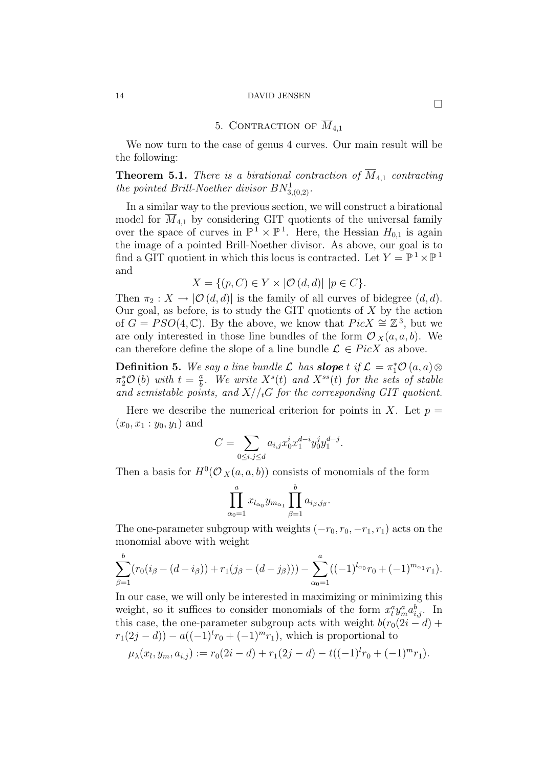# 14 DAVID JENSEN

# 5. CONTRACTION OF  $\overline{M}_{4,1}$

We now turn to the case of genus 4 curves. Our main result will be the following:

**Theorem 5.1.** There is a birational contraction of  $\overline{M}_{4,1}$  contracting the pointed Brill-Noether divisor  $BN^1_{3,(0,2)}$ .

In a similar way to the previous section, we will construct a birational model for  $M_{4,1}$  by considering GIT quotients of the universal family over the space of curves in  $\mathbb{P}^1 \times \mathbb{P}^1$ . Here, the Hessian  $H_{0,1}$  is again the image of a pointed Brill-Noether divisor. As above, our goal is to find a GIT quotient in which this locus is contracted. Let  $Y = \mathbb{P}^1 \times \mathbb{P}^1$ and

$$
X = \{ (p, C) \in Y \times |\mathcal{O}(d, d)| \mid p \in C \}.
$$

Then  $\pi_2 : X \to [O(d, d)]$  is the family of all curves of bidegree  $(d, d)$ . Our goal, as before, is to study the GIT quotients of  $X$  by the action of  $G = PSO(4, \mathbb{C})$ . By the above, we know that  $Pic X \cong \mathbb{Z}^3$ , but we are only interested in those line bundles of the form  $\mathcal{O}_X(a, a, b)$ . We can therefore define the slope of a line bundle  $\mathcal{L} \in PicX$  as above.

**Definition 5.** We say a line bundle  $\mathcal L$  has **slope** t if  $\mathcal L = \pi_1^* \mathcal O(a, a) \otimes$  $\pi_2^* \mathcal{O}(b)$  with  $t = \frac{a}{b}$  $\frac{a}{b}$ . We write  $X^{s}(t)$  and  $X^{ss}(t)$  for the sets of stable and semistable points, and  $X//_tG$  for the corresponding GIT quotient.

Here we describe the numerical criterion for points in X. Let  $p =$  $(x_0, x_1 : y_0, y_1)$  and

$$
C = \sum_{0 \le i,j \le d} a_{i,j} x_0^i x_1^{d-i} y_0^j y_1^{d-j}.
$$

Then a basis for  $H^0(\mathcal{O}_X(a, a, b))$  consists of monomials of the form

$$
\prod_{\alpha_0=1}^a x_{l_{\alpha_0}} y_{m_{\alpha_1}} \prod_{\beta=1}^b a_{i_\beta,j_\beta}.
$$

The one-parameter subgroup with weights  $(-r_0, r_0, -r_1, r_1)$  acts on the monomial above with weight

$$
\sum_{\beta=1}^{b} (r_0(i_\beta - (d - i_\beta)) + r_1(j_\beta - (d - j_\beta))) - \sum_{\alpha_0=1}^{a} ((-1)^{l_{\alpha_0}}r_0 + (-1)^{m_{\alpha_1}}r_1).
$$

In our case, we will only be interested in maximizing or minimizing this weight, so it suffices to consider monomials of the form  $x_i^a y_m^a a_{i,j}^b$ . In this case, the one-parameter subgroup acts with weight  $b(r_0(2i - d) +$  $r_1(2j - d) - a((-1)^l r_0 + (-1)^m r_1)$ , which is proportional to

$$
\mu_{\lambda}(x_l, y_m, a_{i,j}) := r_0(2i - d) + r_1(2j - d) - t((-1)^l r_0 + (-1)^m r_1).
$$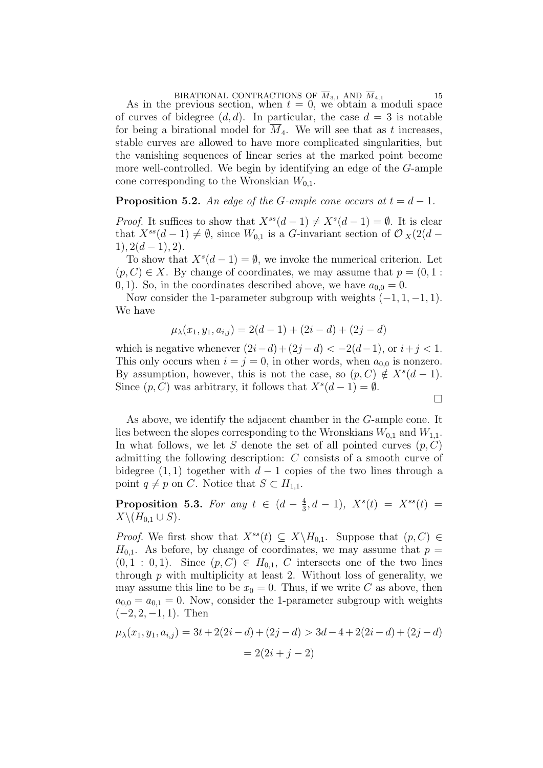BIRATIONAL CONTRACTIONS OF  $M_{3,1}$  AND  $M_{4,1}$  15<br>As in the previous section, when  $t = 0$ , we obtain a moduli space of curves of bidegree  $(d, d)$ . In particular, the case  $d = 3$  is notable for being a birational model for  $M_4$ . We will see that as t increases, stable curves are allowed to have more complicated singularities, but the vanishing sequences of linear series at the marked point become more well-controlled. We begin by identifying an edge of the G-ample cone corresponding to the Wronskian  $W_{0,1}$ .

# **Proposition 5.2.** An edge of the G-ample cone occurs at  $t = d - 1$ .

*Proof.* It suffices to show that  $X^{ss}(d-1) \neq X^{s}(d-1) = \emptyset$ . It is clear that  $X^{ss}(d-1) \neq \emptyset$ , since  $W_{0,1}$  is a G-invariant section of  $\mathcal{O}_X(2(d 1), 2(d-1), 2).$ 

To show that  $X^s(d-1) = \emptyset$ , we invoke the numerical criterion. Let  $(p, C) \in X$ . By change of coordinates, we may assume that  $p = (0, 1)$ : 0, 1). So, in the coordinates described above, we have  $a_{0,0} = 0$ .

Now consider the 1-parameter subgroup with weights  $(-1, 1, -1, 1)$ . We have

$$
\mu_{\lambda}(x_1, y_1, a_{i,j}) = 2(d-1) + (2i - d) + (2j - d)
$$

which is negative whenever  $(2i-d)+(2j-d) < -2(d-1)$ , or  $i+j < 1$ . This only occurs when  $i = j = 0$ , in other words, when  $a_{0,0}$  is nonzero. By assumption, however, this is not the case, so  $(p, C) \notin X<sup>s</sup>(d-1)$ . Since  $(p, C)$  was arbitrary, it follows that  $X<sup>s</sup>(d-1) = \emptyset$ .

 $\Box$ 

As above, we identify the adjacent chamber in the G-ample cone. It lies between the slopes corresponding to the Wronskians  $W_{0,1}$  and  $W_{1,1}$ . In what follows, we let S denote the set of all pointed curves  $(p, C)$ admitting the following description: C consists of a smooth curve of bidegree  $(1, 1)$  together with  $d - 1$  copies of the two lines through a point  $q \neq p$  on C. Notice that  $S \subset H_{1,1}$ .

**Proposition 5.3.** For any  $t \in (d - \frac{4}{3})$  $\frac{4}{3}$ , d - 1),  $X^s(t) = X^{ss}(t) =$  $X\backslash (H_{0,1}\cup S)$ .

*Proof.* We first show that  $X^{ss}(t) \subseteq X \backslash H_{0,1}$ . Suppose that  $(p, C) \in$  $H_{0,1}$ . As before, by change of coordinates, we may assume that  $p =$  $(0, 1 : 0, 1)$ . Since  $(p, C) \in H_{0,1}$ , C intersects one of the two lines through  $p$  with multiplicity at least 2. Without loss of generality, we may assume this line to be  $x_0 = 0$ . Thus, if we write C as above, then  $a_{0,0} = a_{0,1} = 0$ . Now, consider the 1-parameter subgroup with weights  $(-2, 2, -1, 1)$ . Then

$$
\mu_{\lambda}(x_1, y_1, a_{i,j}) = 3t + 2(2i - d) + (2j - d) > 3d - 4 + 2(2i - d) + (2j - d)
$$

$$
= 2(2i + j - 2)
$$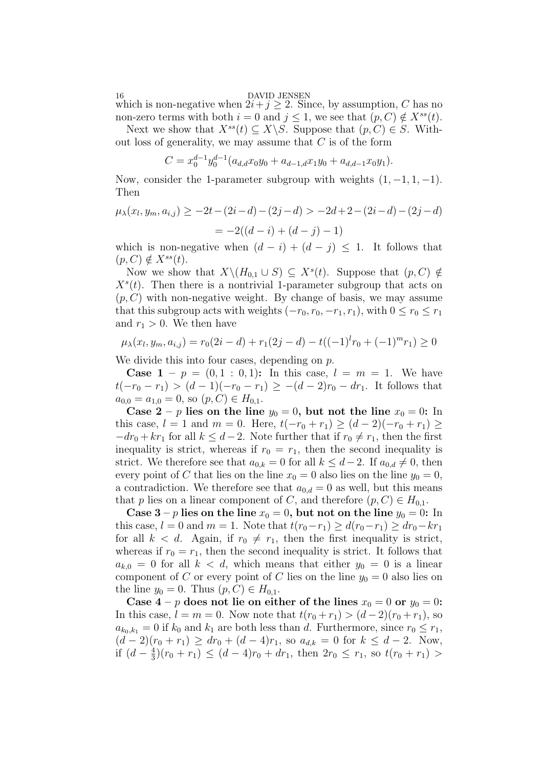16 DAVID JENSEN

which is non-negative when  $2i + j \geq 2$ . Since, by assumption, C has no non-zero terms with both  $i = 0$  and  $j \leq 1$ , we see that  $(p, C) \notin X^{ss}(t)$ .

Next we show that  $X^{ss}(t) \subseteq X \backslash S$ . Suppose that  $(p, C) \in S$ . Without loss of generality, we may assume that  $C$  is of the form

$$
C = x_0^{d-1} y_0^{d-1} (a_{d,d} x_0 y_0 + a_{d-1,d} x_1 y_0 + a_{d,d-1} x_0 y_1).
$$

Now, consider the 1-parameter subgroup with weights  $(1, -1, 1, -1)$ . Then

$$
\mu_{\lambda}(x_l, y_m, a_{i,j}) \ge -2t - (2i - d) - (2j - d) > -2d + 2 - (2i - d) - (2j - d)
$$

$$
= -2((d - i) + (d - j) - 1)
$$

which is non-negative when  $(d - i) + (d - j) \leq 1$ . It follows that  $(p, C) \notin X^{ss}(t)$ .

Now we show that  $X \setminus (H_{0,1} \cup S) \subseteq X^s(t)$ . Suppose that  $(p, C) \notin$  $X^s(t)$ . Then there is a nontrivial 1-parameter subgroup that acts on  $(p, C)$  with non-negative weight. By change of basis, we may assume that this subgroup acts with weights  $(-r_0, r_0, -r_1, r_1)$ , with  $0 \le r_0 \le r_1$ and  $r_1 > 0$ . We then have

$$
\mu_{\lambda}(x_l, y_m, a_{i,j}) = r_0(2i - d) + r_1(2j - d) - t((-1)^l r_0 + (-1)^m r_1) \ge 0
$$

We divide this into four cases, depending on  $p$ .

**Case 1** –  $p = (0, 1 : 0, 1)$ : In this case,  $l = m = 1$ . We have  $t(-r_0 - r_1) > (d-1)(-r_0 - r_1) \ge -(d-2)r_0 - dr_1$ . It follows that  $a_{0,0} = a_{1,0} = 0$ , so  $(p, C) \in H_{0,1}$ .

Case  $2 - p$  lies on the line  $y_0 = 0$ , but not the line  $x_0 = 0$ : In this case,  $l = 1$  and  $m = 0$ . Here,  $t(-r_0 + r_1) \ge (d - 2)(-r_0 + r_1) \ge$  $-dr_0 + kr_1$  for all  $k \leq d-2$ . Note further that if  $r_0 \neq r_1$ , then the first inequality is strict, whereas if  $r_0 = r_1$ , then the second inequality is strict. We therefore see that  $a_{0,k} = 0$  for all  $k \leq d-2$ . If  $a_{0,d} \neq 0$ , then every point of C that lies on the line  $x_0 = 0$  also lies on the line  $y_0 = 0$ , a contradiction. We therefore see that  $a_{0,d} = 0$  as well, but this means that p lies on a linear component of C, and therefore  $(p, C) \in H_{0,1}$ .

Case  $3 - p$  lies on the line  $x_0 = 0$ , but not on the line  $y_0 = 0$ : In this case,  $l = 0$  and  $m = 1$ . Note that  $t(r_0 - r_1) \geq d(r_0 - r_1) \geq dr_0 - kr_1$ for all  $k < d$ . Again, if  $r_0 \neq r_1$ , then the first inequality is strict, whereas if  $r_0 = r_1$ , then the second inequality is strict. It follows that  $a_{k,0} = 0$  for all  $k < d$ , which means that either  $y_0 = 0$  is a linear component of C or every point of C lies on the line  $y_0 = 0$  also lies on the line  $y_0 = 0$ . Thus  $(p, C) \in H_{0,1}$ .

Case  $4 - p$  does not lie on either of the lines  $x_0 = 0$  or  $y_0 = 0$ : In this case,  $l = m = 0$ . Now note that  $t(r_0 + r_1) > (d - 2)(r_0 + r_1)$ , so  $a_{k_0,k_1} = 0$  if  $k_0$  and  $k_1$  are both less than d. Furthermore, since  $r_0 \leq r_1$ ,  $(d-2)(r_0+r_1) \geq dr_0 + (d-4)r_1$ , so  $a_{d,k} = 0$  for  $k \leq d-2$ . Now, if  $(d-\frac{4}{3})$  $\frac{4}{3}(r_0+r_1) \leq (d-4)r_0 + dr_1$ , then  $2r_0 \leq r_1$ , so  $t(r_0+r_1) >$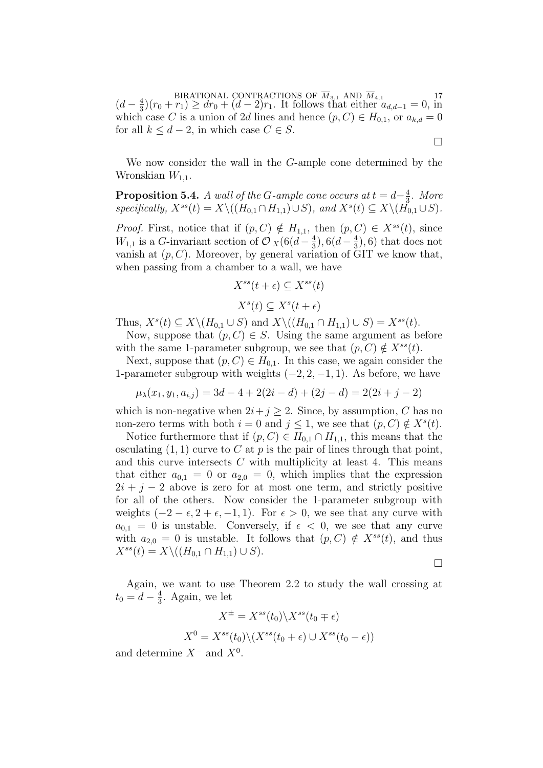BIRATIONAL CONTRACTIONS OF  $M_{3,1}$  AND  $M_{4,1}$ <br>  $(d - \frac{4}{3})(r_0 + r_1) \geq dr_0 + (d - 2)r_1$ . It follows that either  $a_{d,d-1} = 0$ , in  $\frac{4}{3}(r_0 + r_1) \geq dr_0 + (d - 2)r_1$ . It follows that either  $a_{d,d-1} = 0$ , in which case C is a union of 2d lines and hence  $(p, C) \in H_{0,1}$ , or  $a_{k,d} = 0$ for all  $k \leq d-2$ , in which case  $C \in S$ .

We now consider the wall in the G-ample cone determined by the Wronskian  $W_{1,1}$ .

**Proposition 5.4.** A wall of the G-ample cone occurs at  $t = d - \frac{4}{3}$  $\frac{4}{3}$ . More specifically,  $X^{ss}(t) = X \setminus ((H_{0,1} \cap H_{1,1}) \cup S)$ , and  $X^{s}(t) \subseteq X \setminus (H_{0,1} \cup S)$ .

*Proof.* First, notice that if  $(p, C) \notin H_{1,1}$ , then  $(p, C) \in X^{ss}(t)$ , since  $W_{1,1}$  is a G-invariant section of  $\mathcal{O}_X(6(d-\frac{4}{3}))$  $(\frac{4}{3}), 6(d - \frac{4}{3})$  $(\frac{4}{3}), 6$  that does not vanish at  $(p, C)$ . Moreover, by general variation of GIT we know that, when passing from a chamber to a wall, we have

$$
X^{ss}(t+\epsilon) \subseteq X^{ss}(t)
$$

$$
X^{s}(t) \subseteq X^{s}(t+\epsilon)
$$

Thus,  $X^s(t) \subseteq X \setminus (H_{0,1} \cup S)$  and  $X \setminus ((H_{0,1} \cap H_{1,1}) \cup S) = X^{ss}(t)$ .

Now, suppose that  $(p, C) \in S$ . Using the same argument as before with the same 1-parameter subgroup, we see that  $(p, C) \notin X^{ss}(t)$ .

Next, suppose that  $(p, C) \in H_{0,1}$ . In this case, we again consider the 1-parameter subgroup with weights  $(-2, 2, -1, 1)$ . As before, we have

$$
\mu_{\lambda}(x_1, y_1, a_{i,j}) = 3d - 4 + 2(2i - d) + (2j - d) = 2(2i + j - 2)
$$

which is non-negative when  $2i+j \geq 2$ . Since, by assumption, C has no non-zero terms with both  $i = 0$  and  $j \leq 1$ , we see that  $(p, C) \notin X^s(t)$ .

Notice furthermore that if  $(p, C) \in H_{0,1} \cap H_{1,1}$ , this means that the osculating  $(1, 1)$  curve to C at p is the pair of lines through that point, and this curve intersects  $C$  with multiplicity at least 4. This means that either  $a_{0,1} = 0$  or  $a_{2,0} = 0$ , which implies that the expression  $2i + j - 2$  above is zero for at most one term, and strictly positive for all of the others. Now consider the 1-parameter subgroup with weights  $(-2 - \epsilon, 2 + \epsilon, -1, 1)$ . For  $\epsilon > 0$ , we see that any curve with  $a_{0,1} = 0$  is unstable. Conversely, if  $\epsilon < 0$ , we see that any curve with  $a_{2,0} = 0$  is unstable. It follows that  $(p, C) \notin X^{ss}(t)$ , and thus  $X^{ss}(t) = X \setminus ((H_{0,1} \cap H_{1,1}) \cup S).$ 

 $\Box$ 

 $\Box$ 

Again, we want to use Theorem 2.2 to study the wall crossing at  $t_0 = d - \frac{4}{3}$  $\frac{4}{3}$ . Again, we let

$$
X^{\pm} = X^{ss}(t_0) \backslash X^{ss}(t_0 \mp \epsilon)
$$

$$
X^0 = X^{ss}(t_0) \backslash (X^{ss}(t_0 + \epsilon) \cup X^{ss}(t_0 - \epsilon))
$$

and determine  $X^-$  and  $X^0$ .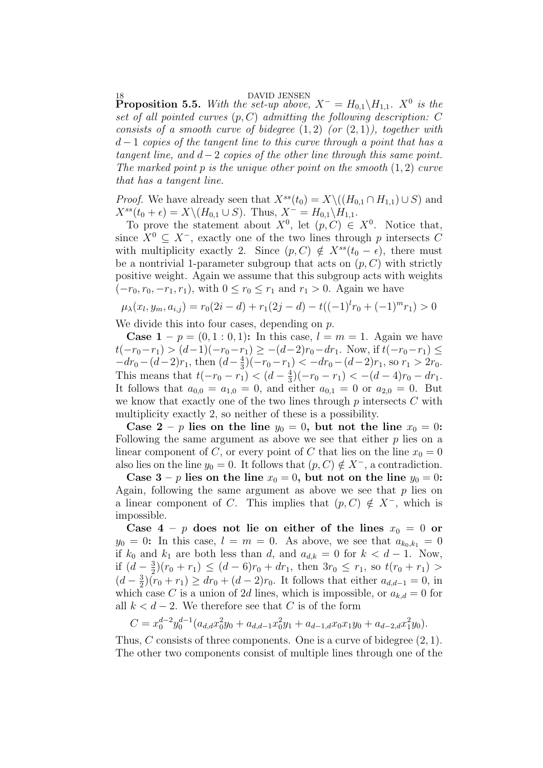18<br>**Proposition 5.5.** With the set-up above,  $X^- = H_{0,1} \setminus H_{1,1}$ .  $X^0$  is the set of all pointed curves  $(p, C)$  admitting the following description: C consists of a smooth curve of bidegree  $(1,2)$  (or  $(2,1)$ ), together with  $d-1$  copies of the tangent line to this curve through a point that has a tangent line, and  $d-2$  copies of the other line through this same point. The marked point  $p$  is the unique other point on the smooth  $(1, 2)$  curve that has a tangent line.

*Proof.* We have already seen that  $X^{ss}(t_0) = X \setminus ((H_{0,1} \cap H_{1,1}) \cup S)$  and  $X^{ss}(t_0 + \epsilon) = X \setminus (H_{0,1} \cup S)$ . Thus,  $X^- = H_{0,1} \setminus H_{1,1}$ .

To prove the statement about  $X^0$ , let  $(p, C) \in X^0$ . Notice that, since  $X^0 \subset X^-$ , exactly one of the two lines through p intersects C with multiplicity exactly 2. Since  $(p, C) \notin X^{ss}(t_0 - \epsilon)$ , there must be a nontrivial 1-parameter subgroup that acts on  $(p, C)$  with strictly positive weight. Again we assume that this subgroup acts with weights  $(-r_0, r_0, -r_1, r_1)$ , with  $0 \le r_0 \le r_1$  and  $r_1 > 0$ . Again we have

$$
\mu_{\lambda}(x_l, y_m, a_{i,j}) = r_0(2i - d) + r_1(2j - d) - t((-1)^l r_0 + (-1)^m r_1) > 0
$$

We divide this into four cases, depending on p.

**Case 1** –  $p = (0, 1 : 0, 1)$ : In this case,  $l = m = 1$ . Again we have  $t(-r_0-r_1) > (d-1)(-r_0-r_1) \ge -(d-2)r_0-dr_1$ . Now, if  $t(-r_0-r_1) \le$  $-dr_0-(d-2)r_1$ , then  $(d-\frac{4}{3})$  $\frac{4}{3}$ )(- $r_0-r_1$ ) < - $dr_0$  – (d-2) $r_1$ , so  $r_1 > 2r_0$ . This means that  $t(-r_0-r_1) < (d-\frac{4}{3})$  $\frac{4}{3}$  $(-r_0 - r_1) < -(d - 4)r_0 - dr_1$ . It follows that  $a_{0,0} = a_{1,0} = 0$ , and either  $a_{0,1} = 0$  or  $a_{2,0} = 0$ . But we know that exactly one of the two lines through  $p$  intersects  $C$  with multiplicity exactly 2, so neither of these is a possibility.

Case  $2 - p$  lies on the line  $y_0 = 0$ , but not the line  $x_0 = 0$ : Following the same argument as above we see that either  $p$  lies on a linear component of C, or every point of C that lies on the line  $x_0 = 0$ also lies on the line  $y_0 = 0$ . It follows that  $(p, C) \notin X^-$ , a contradiction.

Case  $3 - p$  lies on the line  $x_0 = 0$ , but not on the line  $y_0 = 0$ : Again, following the same argument as above we see that  $p$  lies on a linear component of C. This implies that  $(p, C) \notin X^-$ , which is impossible.

Case  $4 - p$  does not lie on either of the lines  $x_0 = 0$  or  $y_0 = 0$ : In this case,  $l = m = 0$ . As above, we see that  $a_{k_0, k_1} = 0$ if  $k_0$  and  $k_1$  are both less than d, and  $a_{d,k} = 0$  for  $k < d - 1$ . Now, if  $(d-\frac{3}{2})$  $\frac{3}{2}(r_0+r_1) \leq (d-6)r_0 + dr_1$ , then  $3r_0 \leq r_1$ , so  $t(r_0+r_1) >$  $(d-\frac{3}{2})$  $\frac{3}{2}(r_0 + r_1) \geq dr_0 + (d - 2)r_0$ . It follows that either  $a_{d,d-1} = 0$ , in which case C is a union of 2d lines, which is impossible, or  $a_{k,d} = 0$  for all  $k < d-2$ . We therefore see that C is of the form

$$
C = x_0^{d-2} y_0^{d-1} (a_{d,d} x_0^2 y_0 + a_{d,d-1} x_0^2 y_1 + a_{d-1,d} x_0 x_1 y_0 + a_{d-2,d} x_1^2 y_0).
$$

Thus, C consists of three components. One is a curve of bidegree  $(2, 1)$ . The other two components consist of multiple lines through one of the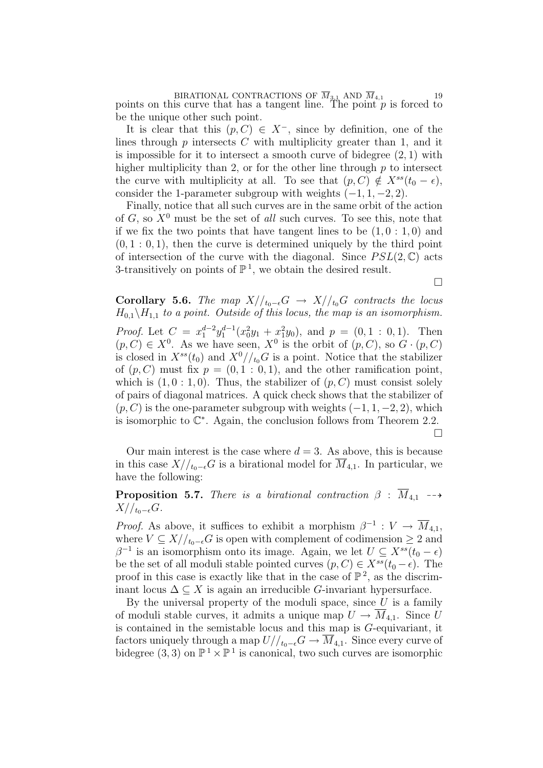BIRATIONAL CONTRACTIONS OF  $M_{3,1}$  AND  $M_{4,1}$  19<br>points on this curve that has a tangent line. The point p is forced to be the unique other such point.

It is clear that this  $(p, C) \in X^-$ , since by definition, one of the lines through  $p$  intersects  $C$  with multiplicity greater than 1, and it is impossible for it to intersect a smooth curve of bidegree  $(2, 1)$  with higher multiplicity than 2, or for the other line through  $p$  to intersect the curve with multiplicity at all. To see that  $(p, C) \notin X^{ss}(t_0 - \epsilon)$ , consider the 1-parameter subgroup with weights  $(-1, 1, -2, 2)$ .

Finally, notice that all such curves are in the same orbit of the action of G, so  $X^0$  must be the set of all such curves. To see this, note that if we fix the two points that have tangent lines to be  $(1, 0: 1, 0)$  and  $(0, 1 : 0, 1)$ , then the curve is determined uniquely by the third point of intersection of the curve with the diagonal. Since  $PSL(2,\mathbb{C})$  acts 3-transitively on points of  $\mathbb{P}^1$ , we obtain the desired result.

 $\Box$ 

Corollary 5.6. The map  $X/_{t_0-\epsilon}G \rightarrow X/_{t_0}G$  contracts the locus  $H_{0,1}\backslash H_{1,1}$  to a point. Outside of this locus, the map is an isomorphism. *Proof.* Let  $C = x_1^{d-2}y_1^{d-1}(x_0^2y_1 + x_1^2y_0)$ , and  $p = (0, 1 : 0, 1)$ . Then  $(p, C) \in X^0$ . As we have seen,  $X^0$  is the orbit of  $(p, C)$ , so  $G \cdot (p, C)$ is closed in  $X^{ss}(t_0)$  and  $X^0/\prime_{t_0}G$  is a point. Notice that the stabilizer of  $(p, C)$  must fix  $p = (0, 1 : 0, 1)$ , and the other ramification point, which is  $(1, 0: 1, 0)$ . Thus, the stabilizer of  $(p, C)$  must consist solely of pairs of diagonal matrices. A quick check shows that the stabilizer of  $(p, C)$  is the one-parameter subgroup with weights  $(-1, 1, -2, 2)$ , which is isomorphic to  $\mathbb{C}^*$ . Again, the conclusion follows from Theorem 2.2.

 $\Box$ 

Our main interest is the case where  $d = 3$ . As above, this is because in this case  $X/_{t_0-\epsilon}G$  is a birational model for  $M_{4,1}$ . In particular, we have the following:

**Proposition 5.7.** There is a birational contraction  $\beta$  :  $\overline{M}_{4,1}$  -- $X//_{t_0-\epsilon}G.$ 

*Proof.* As above, it suffices to exhibit a morphism  $\beta^{-1}: V \to \overline{M}_{4,1}$ , where  $V \subseteq X/_{t_0-\epsilon}G$  is open with complement of codimension  $\geq 2$  and  $\beta^{-1}$  is an isomorphism onto its image. Again, we let  $U \subseteq X^{ss}(t_0 - \epsilon)$ be the set of all moduli stable pointed curves  $(p, C) \in X^{ss}(t_0 - \epsilon)$ . The proof in this case is exactly like that in the case of  $\mathbb{P}^2$ , as the discriminant locus  $\Delta \subseteq X$  is again an irreducible G-invariant hypersurface.

By the universal property of the moduli space, since  $U$  is a family of moduli stable curves, it admits a unique map  $U \to \overline{M}_{4,1}$ . Since U is contained in the semistable locus and this map is G-equivariant, it factors uniquely through a map  $U/_{t_0-\epsilon}G \to \overline{M}_{4,1}$ . Since every curve of bidegree  $(3,3)$  on  $\mathbb{P}^1 \times \mathbb{P}^1$  is canonical, two such curves are isomorphic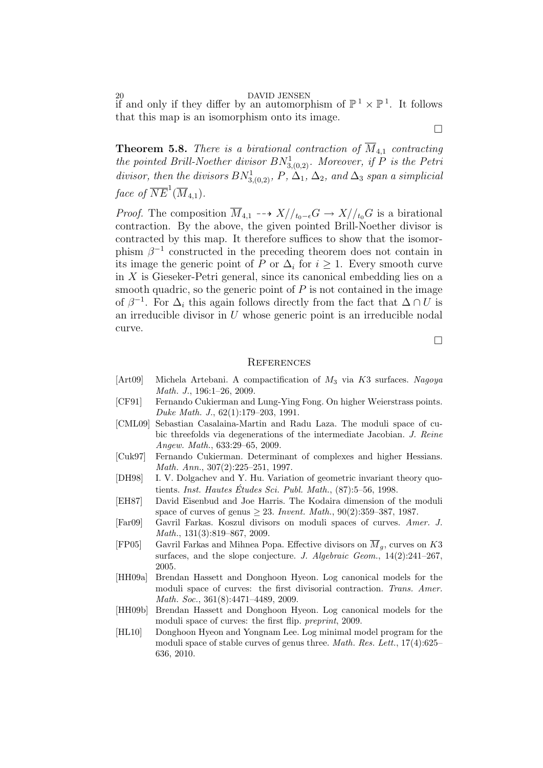20<br>if and only if they differ by an automorphism of  $\mathbb{P}^1 \times \mathbb{P}^1$ . It follows that this map is an isomorphism onto its image.

**Theorem 5.8.** There is a birational contraction of  $M_{4,1}$  contracting the pointed Brill-Noether divisor  $BN^1_{3,(0,2)}$ . Moreover, if P is the Petri divisor, then the divisors  $BN^1_{3,(0,2)}$ , P,  $\Delta_1$ ,  $\Delta_2$ , and  $\Delta_3$  span a simplicial face of  $\overline{NE}^1(\overline{M}_{4,1})$ .

*Proof.* The composition  $\overline{M}_{4,1}$   $\longrightarrow$   $X//_{t_0-\epsilon}G \rightarrow X//_{t_0}G$  is a birational contraction. By the above, the given pointed Brill-Noether divisor is contracted by this map. It therefore suffices to show that the isomorphism  $\beta^{-1}$  constructed in the preceding theorem does not contain in its image the generic point of P or  $\Delta_i$  for  $i \geq 1$ . Every smooth curve in  $X$  is Gieseker-Petri general, since its canonical embedding lies on a smooth quadric, so the generic point of  $P$  is not contained in the image of  $\beta^{-1}$ . For  $\Delta_i$  this again follows directly from the fact that  $\Delta \cap U$  is an irreducible divisor in  $U$  whose generic point is an irreducible nodal curve.

 $\Box$ 

#### **REFERENCES**

- [Art09] Michela Artebani. A compactification of  $M_3$  via K3 surfaces. Nagoya Math. J., 196:1–26, 2009.
- [CF91] Fernando Cukierman and Lung-Ying Fong. On higher Weierstrass points. Duke Math. J., 62(1):179–203, 1991.
- [CML09] Sebastian Casalaina-Martin and Radu Laza. The moduli space of cubic threefolds via degenerations of the intermediate Jacobian. J. Reine Angew. Math., 633:29–65, 2009.
- [Cuk97] Fernando Cukierman. Determinant of complexes and higher Hessians. Math. Ann., 307(2):225–251, 1997.
- [DH98] I. V. Dolgachev and Y. Hu. Variation of geometric invariant theory quotients. Inst. Hautes Études Sci. Publ. Math.,  $(87):5-56$ , 1998.
- [EH87] David Eisenbud and Joe Harris. The Kodaira dimension of the moduli space of curves of genus  $\geq 23$ . *Invent. Math.*, 90(2):359–387, 1987.
- [Far09] Gavril Farkas. Koszul divisors on moduli spaces of curves. Amer. J. Math., 131(3):819–867, 2009.
- [FP05] Gavril Farkas and Mihnea Popa. Effective divisors on  $\overline{M}_q$ , curves on K3 surfaces, and the slope conjecture. J. Algebraic Geom.,  $14(2):241-267$ , 2005.
- [HH09a] Brendan Hassett and Donghoon Hyeon. Log canonical models for the moduli space of curves: the first divisorial contraction. Trans. Amer. Math. Soc., 361(8):4471–4489, 2009.
- [HH09b] Brendan Hassett and Donghoon Hyeon. Log canonical models for the moduli space of curves: the first flip. preprint, 2009.
- [HL10] Donghoon Hyeon and Yongnam Lee. Log minimal model program for the moduli space of stable curves of genus three. Math. Res. Lett., 17(4):625– 636, 2010.

 $\Box$